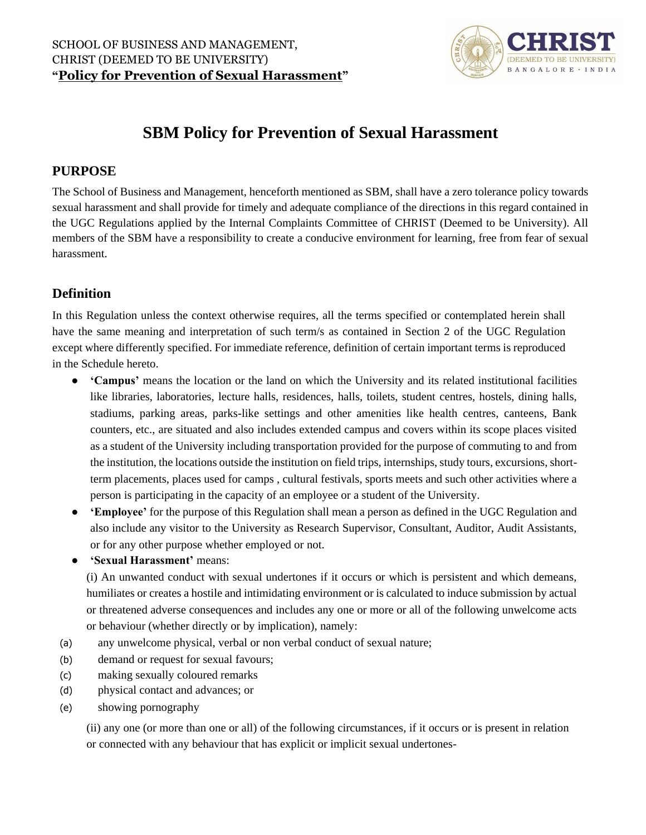

# **SBM Policy for Prevention of Sexual Harassment**

# **PURPOSE**

The School of Business and Management, henceforth mentioned as SBM, shall have a zero tolerance policy towards sexual harassment and shall provide for timely and adequate compliance of the directions in this regard contained in the UGC Regulations applied by the Internal Complaints Committee of CHRIST (Deemed to be University). All members of the SBM have a responsibility to create a conducive environment for learning, free from fear of sexual harassment.

# **Definition**

In this Regulation unless the context otherwise requires, all the terms specified or contemplated herein shall have the same meaning and interpretation of such term/s as contained in Section 2 of the UGC Regulation except where differently specified. For immediate reference, definition of certain important terms is reproduced in the Schedule hereto.

- **'Campus'** means the location or the land on which the University and its related institutional facilities like libraries, laboratories, lecture halls, residences, halls, toilets, student centres, hostels, dining halls, stadiums, parking areas, parks-like settings and other amenities like health centres, canteens, Bank counters, etc., are situated and also includes extended campus and covers within its scope places visited as a student of the University including transportation provided for the purpose of commuting to and from the institution, the locations outside the institution on field trips, internships, study tours, excursions, shortterm placements, places used for camps , cultural festivals, sports meets and such other activities where a person is participating in the capacity of an employee or a student of the University.
- **'Employee'** for the purpose of this Regulation shall mean a person as defined in the UGC Regulation and also include any visitor to the University as Research Supervisor, Consultant, Auditor, Audit Assistants, or for any other purpose whether employed or not.
- **'Sexual Harassment'** means:

(i) An unwanted conduct with sexual undertones if it occurs or which is persistent and which demeans, humiliates or creates a hostile and intimidating environment or is calculated to induce submission by actual or threatened adverse consequences and includes any one or more or all of the following unwelcome acts or behaviour (whether directly or by implication), namely:

- (a) any unwelcome physical, verbal or non verbal conduct of sexual nature;
- (b) demand or request for sexual favours;
- (c) making sexually coloured remarks
- (d) physical contact and advances; or
- (e) showing pornography

(ii) any one (or more than one or all) of the following circumstances, if it occurs or is present in relation or connected with any behaviour that has explicit or implicit sexual undertones-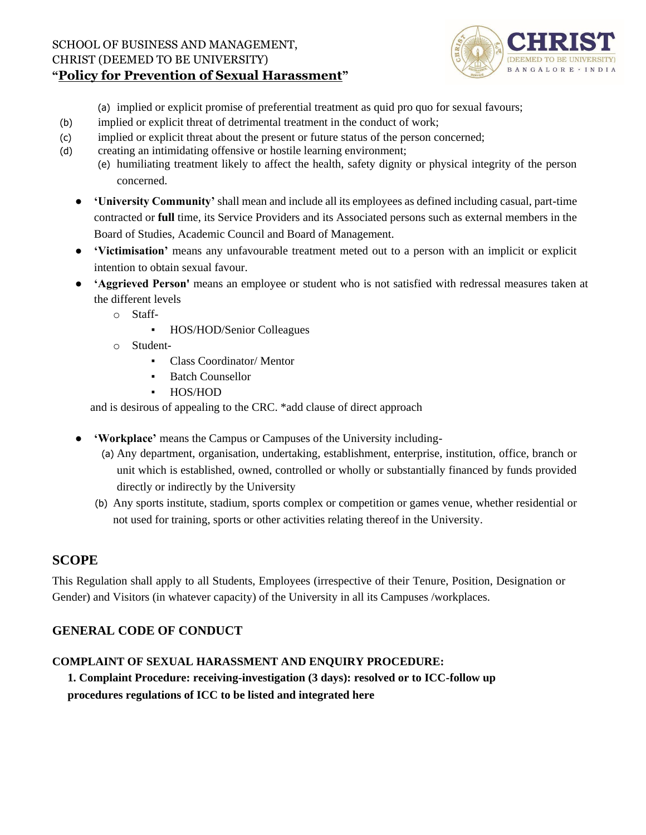

(a) implied or explicit promise of preferential treatment as quid pro quo for sexual favours;

- (b) implied or explicit threat of detrimental treatment in the conduct of work;
- (c) implied or explicit threat about the present or future status of the person concerned;
- (d) creating an intimidating offensive or hostile learning environment;
	- (e) humiliating treatment likely to affect the health, safety dignity or physical integrity of the person concerned.
	- **'University Community'** shall mean and include all its employees as defined including casual, part-time contracted or **full** time, its Service Providers and its Associated persons such as external members in the Board of Studies, Academic Council and Board of Management.
	- **'Victimisation'** means any unfavourable treatment meted out to a person with an implicit or explicit intention to obtain sexual favour.
	- **'Aggrieved Person'** means an employee or student who is not satisfied with redressal measures taken at the different levels
		- o Staff-
			- HOS/HOD/Senior Colleagues
		- o Student-
			- Class Coordinator/ Mentor
			- Batch Counsellor
			- HOS/HOD

and is desirous of appealing to the CRC. \*add clause of direct approach

- **'Workplace'** means the Campus or Campuses of the University including-
	- (a) Any department, organisation, undertaking, establishment, enterprise, institution, office, branch or unit which is established, owned, controlled or wholly or substantially financed by funds provided directly or indirectly by the University
	- (b) Any sports institute, stadium, sports complex or competition or games venue, whether residential or not used for training, sports or other activities relating thereof in the University.

# **SCOPE**

This Regulation shall apply to all Students, Employees (irrespective of their Tenure, Position, Designation or Gender) and Visitors (in whatever capacity) of the University in all its Campuses /workplaces.

# **GENERAL CODE OF CONDUCT**

## **COMPLAINT OF SEXUAL HARASSMENT AND ENQUIRY PROCEDURE:**

**1. Complaint Procedure: receiving-investigation (3 days): resolved or to ICC-follow up procedures regulations of ICC to be listed and integrated here**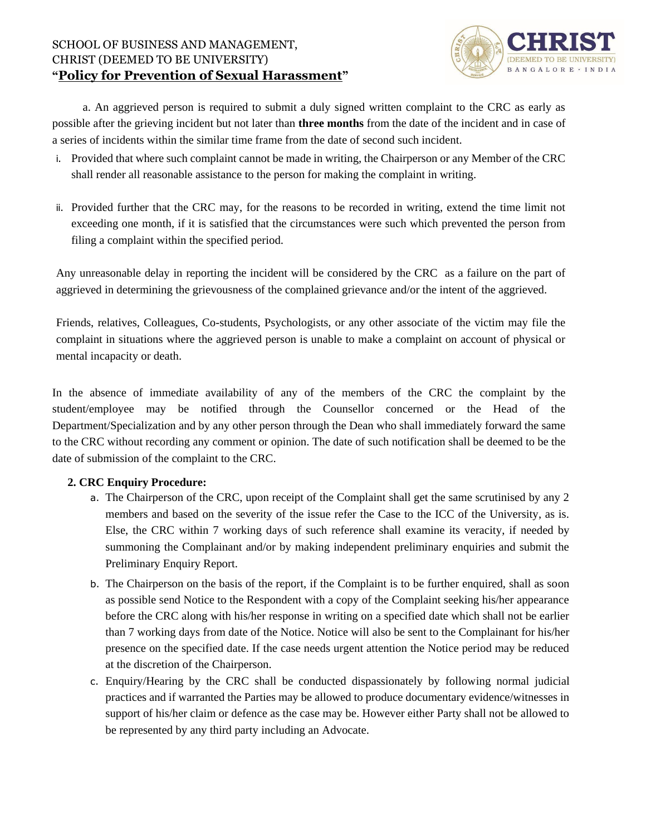

a. An aggrieved person is required to submit a duly signed written complaint to the CRC as early as possible after the grieving incident but not later than **three months** from the date of the incident and in case of a series of incidents within the similar time frame from the date of second such incident.

- i. Provided that where such complaint cannot be made in writing, the Chairperson or any Member of the CRC shall render all reasonable assistance to the person for making the complaint in writing.
- ii. Provided further that the CRC may, for the reasons to be recorded in writing, extend the time limit not exceeding one month, if it is satisfied that the circumstances were such which prevented the person from filing a complaint within the specified period.

Any unreasonable delay in reporting the incident will be considered by the CRC as a failure on the part of aggrieved in determining the grievousness of the complained grievance and/or the intent of the aggrieved.

Friends, relatives, Colleagues, Co-students, Psychologists, or any other associate of the victim may file the complaint in situations where the aggrieved person is unable to make a complaint on account of physical or mental incapacity or death.

In the absence of immediate availability of any of the members of the CRC the complaint by the student/employee may be notified through the Counsellor concerned or the Head of the Department/Specialization and by any other person through the Dean who shall immediately forward the same to the CRC without recording any comment or opinion. The date of such notification shall be deemed to be the date of submission of the complaint to the CRC.

#### **2. CRC Enquiry Procedure:**

- a. The Chairperson of the CRC, upon receipt of the Complaint shall get the same scrutinised by any 2 members and based on the severity of the issue refer the Case to the ICC of the University, as is. Else, the CRC within 7 working days of such reference shall examine its veracity, if needed by summoning the Complainant and/or by making independent preliminary enquiries and submit the Preliminary Enquiry Report.
- b. The Chairperson on the basis of the report, if the Complaint is to be further enquired, shall as soon as possible send Notice to the Respondent with a copy of the Complaint seeking his/her appearance before the CRC along with his/her response in writing on a specified date which shall not be earlier than 7 working days from date of the Notice. Notice will also be sent to the Complainant for his/her presence on the specified date. If the case needs urgent attention the Notice period may be reduced at the discretion of the Chairperson.
- c. Enquiry/Hearing by the CRC shall be conducted dispassionately by following normal judicial practices and if warranted the Parties may be allowed to produce documentary evidence/witnesses in support of his/her claim or defence as the case may be. However either Party shall not be allowed to be represented by any third party including an Advocate.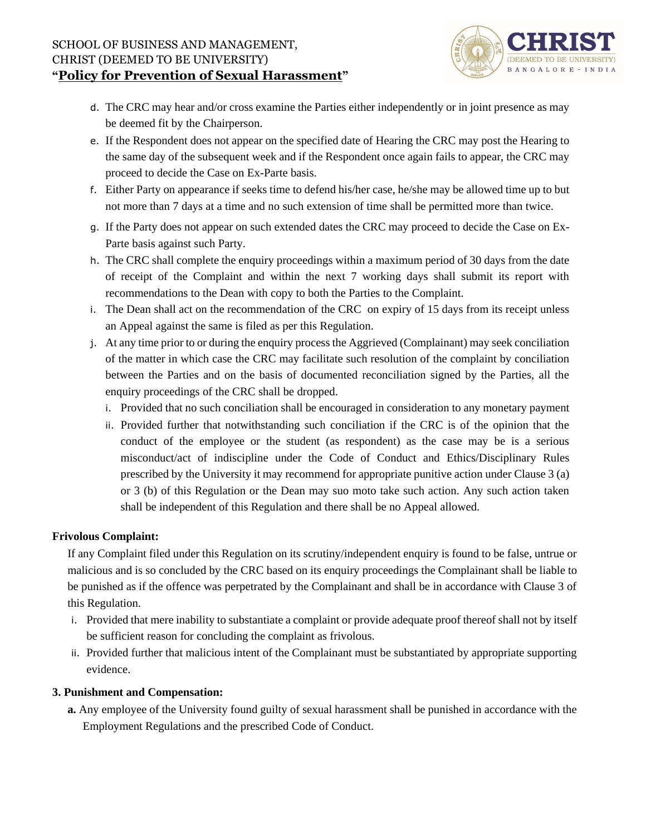

- d. The CRC may hear and/or cross examine the Parties either independently or in joint presence as may be deemed fit by the Chairperson.
- e. If the Respondent does not appear on the specified date of Hearing the CRC may post the Hearing to the same day of the subsequent week and if the Respondent once again fails to appear, the CRC may proceed to decide the Case on Ex-Parte basis.
- f. Either Party on appearance if seeks time to defend his/her case, he/she may be allowed time up to but not more than 7 days at a time and no such extension of time shall be permitted more than twice.
- g. If the Party does not appear on such extended dates the CRC may proceed to decide the Case on Ex-Parte basis against such Party.
- h. The CRC shall complete the enquiry proceedings within a maximum period of 30 days from the date of receipt of the Complaint and within the next 7 working days shall submit its report with recommendations to the Dean with copy to both the Parties to the Complaint.
- i. The Dean shall act on the recommendation of the CRC on expiry of 15 days from its receipt unless an Appeal against the same is filed as per this Regulation.
- j. At any time prior to or during the enquiry process the Aggrieved (Complainant) may seek conciliation of the matter in which case the CRC may facilitate such resolution of the complaint by conciliation between the Parties and on the basis of documented reconciliation signed by the Parties, all the enquiry proceedings of the CRC shall be dropped.
	- i. Provided that no such conciliation shall be encouraged in consideration to any monetary payment
	- ii. Provided further that notwithstanding such conciliation if the CRC is of the opinion that the conduct of the employee or the student (as respondent) as the case may be is a serious misconduct/act of indiscipline under the Code of Conduct and Ethics/Disciplinary Rules prescribed by the University it may recommend for appropriate punitive action under Clause 3 (a) or 3 (b) of this Regulation or the Dean may suo moto take such action. Any such action taken shall be independent of this Regulation and there shall be no Appeal allowed.

#### **Frivolous Complaint:**

If any Complaint filed under this Regulation on its scrutiny/independent enquiry is found to be false, untrue or malicious and is so concluded by the CRC based on its enquiry proceedings the Complainant shall be liable to be punished as if the offence was perpetrated by the Complainant and shall be in accordance with Clause 3 of this Regulation.

- i. Provided that mere inability to substantiate a complaint or provide adequate proof thereof shall not by itself be sufficient reason for concluding the complaint as frivolous.
- ii. Provided further that malicious intent of the Complainant must be substantiated by appropriate supporting evidence.

#### **3. Punishment and Compensation:**

**a.** Any employee of the University found guilty of sexual harassment shall be punished in accordance with the Employment Regulations and the prescribed Code of Conduct.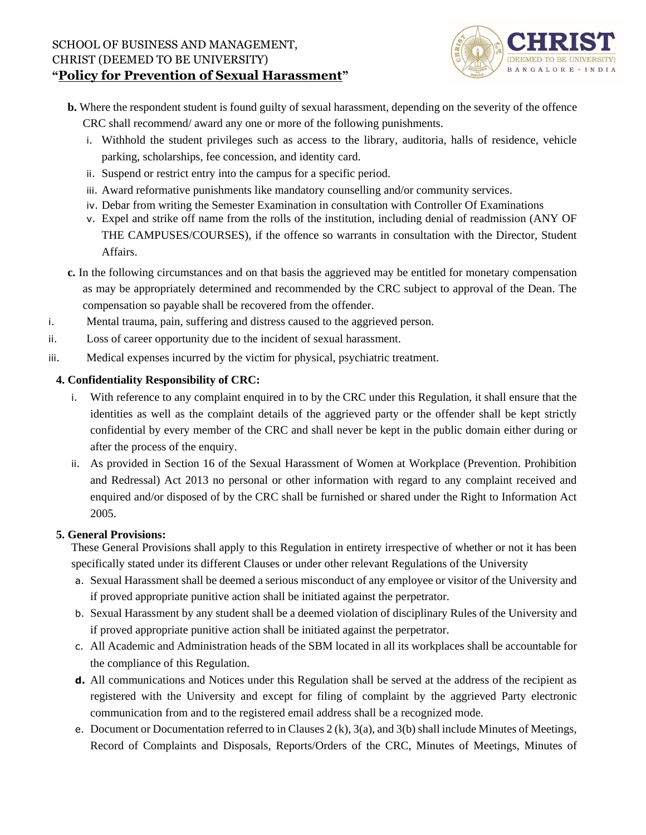

- **b.** Where the respondent student is found guilty of sexual harassment, depending on the severity of the offence CRC shall recommend/ award any one or more of the following punishments.
	- i. Withhold the student privileges such as access to the library, auditoria, halls of residence, vehicle parking, scholarships, fee concession, and identity card.
	- ii. Suspend or restrict entry into the campus for a specific period.
	- iii. Award reformative punishments like mandatory counselling and/or community services.
	- iv. Debar from writing the Semester Examination in consultation with Controller Of Examinations
	- v. Expel and strike off name from the rolls of the institution, including denial of readmission (ANY OF THE CAMPUSES/COURSES), if the offence so warrants in consultation with the Director, Student Affairs.
- **c.** In the following circumstances and on that basis the aggrieved may be entitled for monetary compensation as may be appropriately determined and recommended by the CRC subject to approval of the Dean. The compensation so payable shall be recovered from the offender.
- i. Mental trauma, pain, suffering and distress caused to the aggrieved person.
- ii. Loss of career opportunity due to the incident of sexual harassment.
- iii. Medical expenses incurred by the victim for physical, psychiatric treatment.

# **4. Confidentiality Responsibility of CRC:**

- i. With reference to any complaint enquired in to by the CRC under this Regulation, it shall ensure that the identities as well as the complaint details of the aggrieved party or the offender shall be kept strictly confidential by every member of the CRC and shall never be kept in the public domain either during or after the process of the enquiry.
- ii. As provided in Section 16 of the Sexual Harassment of Women at Workplace (Prevention. Prohibition and Redressal) Act 2013 no personal or other information with regard to any complaint received and enquired and/or disposed of by the CRC shall be furnished or shared under the Right to Information Act 2005.

## **5. General Provisions:**

These General Provisions shall apply to this Regulation in entirety irrespective of whether or not it has been specifically stated under its different Clauses or under other relevant Regulations of the University

- a. Sexual Harassment shall be deemed a serious misconduct of any employee or visitor of the University and if proved appropriate punitive action shall be initiated against the perpetrator.
- b. Sexual Harassment by any student shall be a deemed violation of disciplinary Rules of the University and if proved appropriate punitive action shall be initiated against the perpetrator.
- c. All Academic and Administration heads of the SBM located in all its workplaces shall be accountable for the compliance of this Regulation.
- **d.** All communications and Notices under this Regulation shall be served at the address of the recipient as registered with the University and except for filing of complaint by the aggrieved Party electronic communication from and to the registered email address shall be a recognized mode.
- e. Document or Documentation referred to in Clauses 2 (k), 3(a), and 3(b) shall include Minutes of Meetings, Record of Complaints and Disposals, Reports/Orders of the CRC, Minutes of Meetings, Minutes of